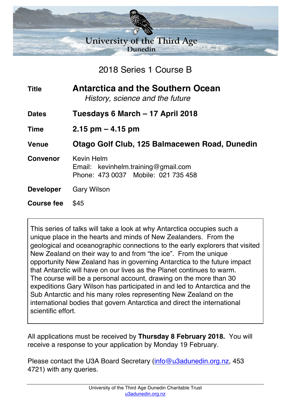

2018 Series 1 Course B

| <b>Title</b>      | <b>Antarctica and the Southern Ocean</b><br>History, science and the future                     |
|-------------------|-------------------------------------------------------------------------------------------------|
| <b>Dates</b>      | Tuesdays 6 March – 17 April 2018                                                                |
| <b>Time</b>       | $2.15$ pm $-$ 4.15 pm                                                                           |
| <b>Venue</b>      | Otago Golf Club, 125 Balmacewen Road, Dunedin                                                   |
| <b>Convenor</b>   | <b>Kevin Helm</b><br>Email: kevinhelm.training@gmail.com<br>Phone: 473 0037 Mobile: 021 735 458 |
| <b>Developer</b>  | <b>Gary Wilson</b>                                                                              |
| <b>Course fee</b> | \$45                                                                                            |

This series of talks will take a look at why Antarctica occupies such a unique place in the hearts and minds of New Zealanders. From the geological and oceanographic connections to the early explorers that visited New Zealand on their way to and from "the ice". From the unique opportunity New Zealand has in governing Antarctica to the future impact that Antarctic will have on our lives as the Planet continues to warm. The course will be a personal account, drawing on the more than 30 expeditions Gary Wilson has participated in and led to Antarctica and the Sub Antarctic and his many roles representing New Zealand on the international bodies that govern Antarctica and direct the international scientific effort.

All applications must be received by **Thursday 8 February 2018.** You will receive a response to your application by Monday 19 February.

Please contact the U3A Board Secretary (info@u3adunedin.org.nz, 453 4721) with any queries.